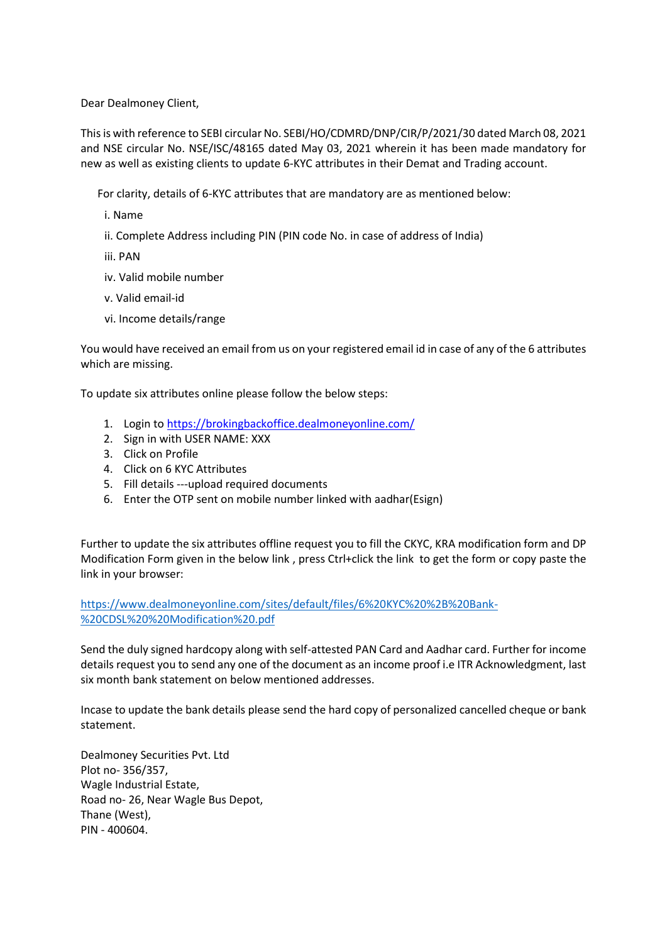Dear Dealmoney Client,

This is with reference to SEBI circular No. SEBI/HO/CDMRD/DNP/CIR/P/2021/30 dated March 08, 2021 and NSE circular No. NSE/ISC/48165 dated May 03, 2021 wherein it has been made mandatory for new as well as existing clients to update 6-KYC attributes in their Demat and Trading account.

For clarity, details of 6-KYC attributes that are mandatory are as mentioned below:

i. Name

ii. Complete Address including PIN (PIN code No. in case of address of India)

iii. PAN

- iv. Valid mobile number
- v. Valid email-id
- vi. Income details/range

You would have received an email from us on your registered email id in case of any of the 6 attributes which are missing.

To update six attributes online please follow the below steps:

- 1. Login to<https://brokingbackoffice.dealmoneyonline.com/>
- 2. Sign in with USER NAME: XXX
- 3. Click on Profile
- 4. Click on 6 KYC Attributes
- 5. Fill details ---upload required documents
- 6. Enter the OTP sent on mobile number linked with aadhar(Esign)

Further to update the six attributes offline request you to fill the CKYC, KRA modification form and DP Modification Form given in the below link , press Ctrl+click the link to get the form or copy paste the link in your browser:

[https://www.dealmoneyonline.com/sites/default/files/6%20KYC%20%2B%20Bank-](https://www.dealmoneyonline.com/sites/default/files/6%20KYC%20%2B%20Bank-%20CDSL%20%20Modification%20.pdf) [%20CDSL%20%20Modification%20.pdf](https://www.dealmoneyonline.com/sites/default/files/6%20KYC%20%2B%20Bank-%20CDSL%20%20Modification%20.pdf)

Send the duly signed hardcopy along with self-attested PAN Card and Aadhar card. Further for income details request you to send any one of the document as an income proof i.e ITR Acknowledgment, last six month bank statement on below mentioned addresses.

Incase to update the bank details please send the hard copy of personalized cancelled cheque or bank statement.

Dealmoney Securities Pvt. Ltd Plot no- 356/357, Wagle Industrial Estate, Road no- 26, Near Wagle Bus Depot, Thane (West), PIN - 400604.